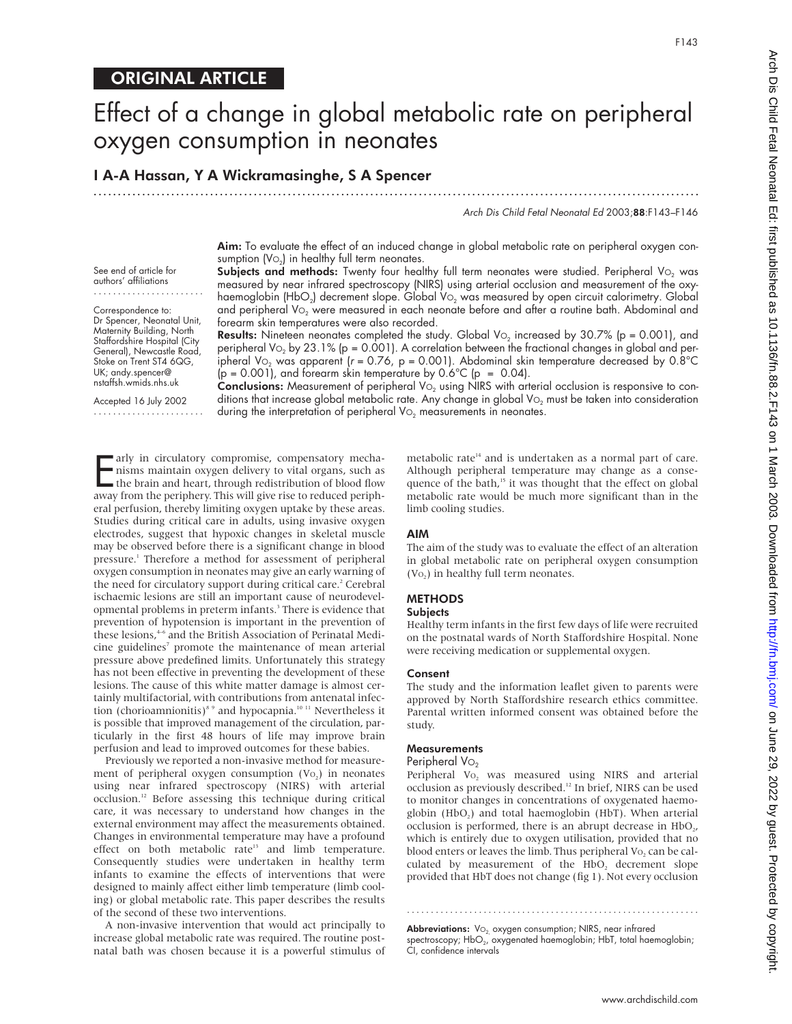See end of article for authors' affiliations ....................... Correspondence to: Dr Spencer, Neonatal Unit, Maternity Building, North Staffordshire Hospital (City General), Newcastle Road, Stoke on Trent ST4 6QG, UK; andy.spencer@ nstaffsh.wmids.nhs.uk Accepted 16 July 2002 .......................

# Effect of a change in global metabolic rate on peripheral oxygen consumption in neonates

.............................................................................................................................

I A-A Hassan, Y A Wickramasinghe, S A Spencer

Arch Dis Child Fetal Neonatal Ed 2003;88:F143–F146

Aim: To evaluate the effect of an induced change in global metabolic rate on peripheral oxygen consumption  $(V_0)$  in healthy full term neonates.

Subjects and methods: Twenty four healthy full term neonates were studied. Peripheral Vo<sub>2</sub> was measured by near infrared spectroscopy (NIRS) using arterial occlusion and measurement of the oxyhaemoglobin (HbO<sub>2</sub>) decrement slope. Global V<sub>O2</sub> was measured by open circuit calorimetry. Global and peripheral V<sub>O<sub>2</sub> were measured in each neonate before and after a routine bath. Abdominal and</sub> forearm skin temperatures were also recorded.

**Results:** Nineteen neonates completed the study. Global Vo<sub>2</sub> increased by 30.7% ( $p = 0.001$ ), and peripheral Vo<sub>2</sub> by 23.1% (p = 0.001). A correlation between the fractional changes in global and peripheral Vo<sub>2</sub> was apparent ( $r = 0.76$ , p = 0.001). Abdominal skin temperature decreased by  $0.8^{\circ}$ C  $(p = 0.001)$ , and forearm skin temperature by  $0.6^{\circ}C$  (p = 0.04).

Conclusions: Measurement of peripheral Vo<sub>2</sub> using NIRS with arterial occlusion is responsive to conditions that increase global metabolic rate. Any change in global  $Vo<sub>2</sub>$  must be taken into consideration during the interpretation of peripheral  $\mathrm{Vo}_2$  measurements in neonates.

Farly in circulatory compromise, compensatory mecha-<br>nisms maintain oxygen delivery to vital organs, such as<br>the brain and heart, through redistribution of blood flow<br>away from the periphery This will give rise to reduced nisms maintain oxygen delivery to vital organs, such as the brain and heart, through redistribution of blood flow away from the periphery. This will give rise to reduced peripheral perfusion, thereby limiting oxygen uptake by these areas. Studies during critical care in adults, using invasive oxygen electrodes, suggest that hypoxic changes in skeletal muscle may be observed before there is a significant change in blood pressure.1 Therefore a method for assessment of peripheral oxygen consumption in neonates may give an early warning of the need for circulatory support during critical care.<sup>2</sup> Cerebral ischaemic lesions are still an important cause of neurodevelopmental problems in preterm infants.<sup>3</sup> There is evidence that prevention of hypotension is important in the prevention of these lesions,<sup>4-6</sup> and the British Association of Perinatal Medicine guidelines<sup>7</sup> promote the maintenance of mean arterial pressure above predefined limits. Unfortunately this strategy has not been effective in preventing the development of these lesions. The cause of this white matter damage is almost certainly multifactorial, with contributions from antenatal infection (chorioamnionitis)<sup>8,9</sup> and hypocapnia.<sup>10,11</sup> Nevertheless it is possible that improved management of the circulation, particularly in the first 48 hours of life may improve brain perfusion and lead to improved outcomes for these babies.

Previously we reported a non-invasive method for measurement of peripheral oxygen consumption  $(V<sub>O</sub>)$  in neonates using near infrared spectroscopy (NIRS) with arterial occlusion.12 Before assessing this technique during critical care, it was necessary to understand how changes in the external environment may affect the measurements obtained. Changes in environmental temperature may have a profound effect on both metabolic rate<sup>13</sup> and limb temperature. Consequently studies were undertaken in healthy term infants to examine the effects of interventions that were designed to mainly affect either limb temperature (limb cooling) or global metabolic rate. This paper describes the results of the second of these two interventions.

A non-invasive intervention that would act principally to increase global metabolic rate was required. The routine postnatal bath was chosen because it is a powerful stimulus of metabolic rate<sup>14</sup> and is undertaken as a normal part of care. Although peripheral temperature may change as a consequence of the bath,<sup>15</sup> it was thought that the effect on global metabolic rate would be much more significant than in the limb cooling studies.

#### AIM

The aim of the study was to evaluate the effect of an alteration in global metabolic rate on peripheral oxygen consumption  $(V<sub>O</sub>)$  in healthy full term neonates.

# METHODS

#### **Subjects**

Healthy term infants in the first few days of life were recruited on the postnatal wards of North Staffordshire Hospital. None were receiving medication or supplemental oxygen.

#### Consent

The study and the information leaflet given to parents were approved by North Staffordshire research ethics committee. Parental written informed consent was obtained before the study.

#### **Measurements**

### Peripheral Vo<sub>2</sub>

Peripheral Vo<sub>2</sub> was measured using NIRS and arterial occlusion as previously described.<sup>12</sup> In brief, NIRS can be used to monitor changes in concentrations of oxygenated haemoglobin (HbO<sub>2</sub>) and total haemoglobin (HbT). When arterial occlusion is performed, there is an abrupt decrease in HbO<sub>2</sub>, which is entirely due to oxygen utilisation, provided that no blood enters or leaves the limb. Thus peripheral  $Vo<sub>2</sub>$  can be calculated by measurement of the HbO<sub>2</sub> decrement slope provided that HbT does not change (fig 1). Not every occlusion

**Abbreviations:**  $Vo_2$  oxygen consumption; NIRS, near infrared spectroscopy;  $HbO<sub>2</sub>$ , oxygenated haemoglobin; HbT, total haemoglobin; CI, confidence intervals

.............................................................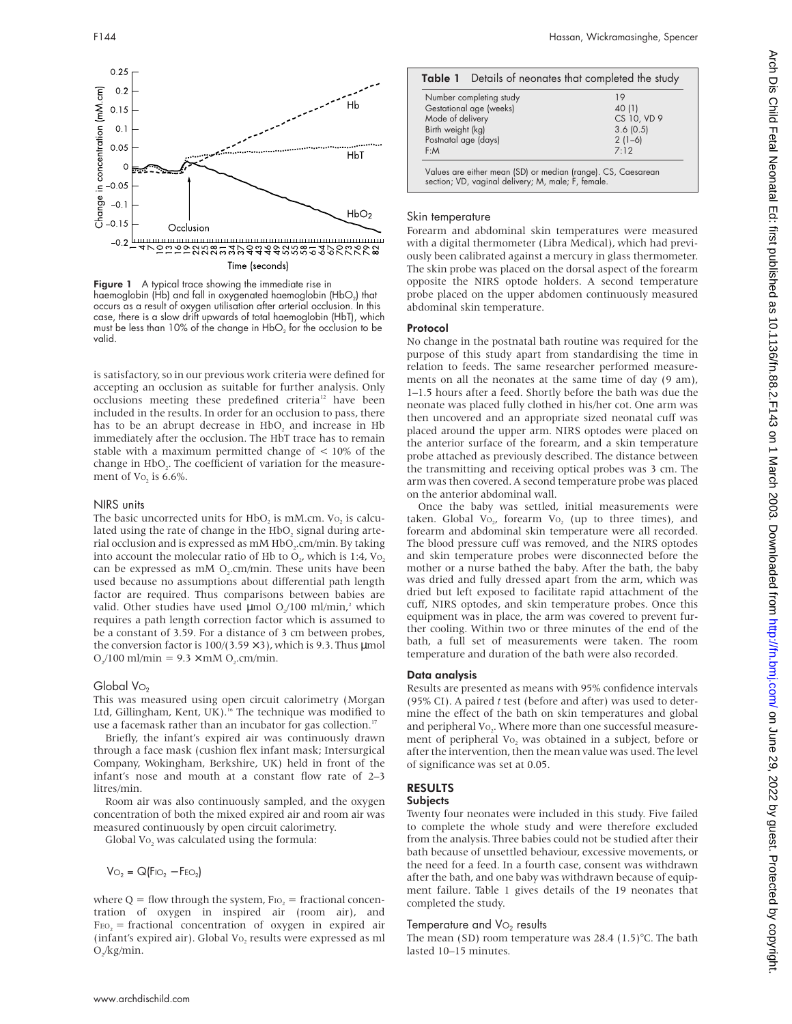

Figure 1 A typical trace showing the immediate rise in haemoglobin (Hb) and fall in oxygenated haemoglobin (HbO<sub>2</sub>) that occurs as a result of oxygen utilisation after arterial occlusion. In this case, there is a slow drift upwards of total haemoglobin (HbT), which must be less than 10% of the change in  $HbO<sub>2</sub>$  for the occlusion to be valid.

is satisfactory, so in our previous work criteria were defined for accepting an occlusion as suitable for further analysis. Only occlusions meeting these predefined criteria<sup>12</sup> have been included in the results. In order for an occlusion to pass, there has to be an abrupt decrease in  $HbO<sub>2</sub>$  and increase in  $Hb$ immediately after the occlusion. The HbT trace has to remain stable with a maximum permitted change of  $\lt$  10% of the change in HbO<sub>2</sub>. The coefficient of variation for the measurement of Vo<sub>2</sub> is 6.6%.

#### NIRS units

The basic uncorrected units for HbO<sub>2</sub> is mM.cm. Vo<sub>2</sub> is calculated using the rate of change in the HbO<sub>2</sub> signal during arterial occlusion and is expressed as mM HbO<sub>2</sub>.cm/min. By taking into account the molecular ratio of Hb to  $O<sub>y</sub>$ , which is 1:4, Vo. can be expressed as  $mM O<sub>2</sub>$ . cm/min. These units have been used because no assumptions about differential path length factor are required. Thus comparisons between babies are valid. Other studies have used  $\mu$ mol O<sub>2</sub>/100 ml/min,<sup>2</sup> which requires a path length correction factor which is assumed to be a constant of 3.59. For a distance of 3 cm between probes, the conversion factor is  $100/(3.59 \times 3)$ , which is 9.3. Thus µmol  $O_2/100$  ml/min = 9.3  $\times$  mM O<sub>2</sub>.cm/min.

#### Global Vo<sub>2</sub>

This was measured using open circuit calorimetry (Morgan Ltd, Gillingham, Kent, UK).<sup>16</sup> The technique was modified to use a facemask rather than an incubator for gas collection.<sup>17</sup>

Briefly, the infant's expired air was continuously drawn through a face mask (cushion flex infant mask; Intersurgical Company, Wokingham, Berkshire, UK) held in front of the infant's nose and mouth at a constant flow rate of 2–3 litres/min.

Room air was also continuously sampled, and the oxygen concentration of both the mixed expired air and room air was measured continuously by open circuit calorimetry.

Global Vo<sub>2</sub> was calculated using the formula:

 $Vo<sub>2</sub> = Q(FiO<sub>2</sub> - FeO<sub>2</sub>)$ 

where  $Q =$  flow through the system,  $F_{10_2} =$  fractional concentration of oxygen in inspired air (room air), and  $F_{EO_2}$  = fractional concentration of oxygen in expired air (infant's expired air). Global Vo<sub>2</sub> results were expressed as ml  $O_{2}/kg/min$ .

| Number completing study | 19                   |  |  |
|-------------------------|----------------------|--|--|
| Gestational age (weeks) | 40 (1)               |  |  |
| Mode of delivery        | CS 10, VD 9          |  |  |
| Birth weight (kg)       | 3.6(0.5)<br>$2(1-6)$ |  |  |
| Postnatal age (days)    |                      |  |  |
| F:M                     | 7.12                 |  |  |

#### Skin temperature

Forearm and abdominal skin temperatures were measured with a digital thermometer (Libra Medical), which had previously been calibrated against a mercury in glass thermometer. The skin probe was placed on the dorsal aspect of the forearm opposite the NIRS optode holders. A second temperature probe placed on the upper abdomen continuously measured abdominal skin temperature.

#### Protocol

No change in the postnatal bath routine was required for the purpose of this study apart from standardising the time in relation to feeds. The same researcher performed measurements on all the neonates at the same time of day (9 am), 1–1.5 hours after a feed. Shortly before the bath was due the neonate was placed fully clothed in his/her cot. One arm was then uncovered and an appropriate sized neonatal cuff was placed around the upper arm. NIRS optodes were placed on the anterior surface of the forearm, and a skin temperature probe attached as previously described. The distance between the transmitting and receiving optical probes was 3 cm. The arm was then covered. A second temperature probe was placed on the anterior abdominal wall.

Once the baby was settled, initial measurements were taken. Global Vo<sub>2</sub>, forearm Vo<sub>2</sub> (up to three times), and forearm and abdominal skin temperature were all recorded. The blood pressure cuff was removed, and the NIRS optodes and skin temperature probes were disconnected before the mother or a nurse bathed the baby. After the bath, the baby was dried and fully dressed apart from the arm, which was dried but left exposed to facilitate rapid attachment of the cuff, NIRS optodes, and skin temperature probes. Once this equipment was in place, the arm was covered to prevent further cooling. Within two or three minutes of the end of the bath, a full set of measurements were taken. The room temperature and duration of the bath were also recorded.

#### Data analysis

Results are presented as means with 95% confidence intervals (95% CI). A paired *t* test (before and after) was used to determine the effect of the bath on skin temperatures and global and peripheral Vo<sub>2</sub>. Where more than one successful measurement of peripheral Vo<sub>2</sub> was obtained in a subject, before or after the intervention, then the mean value was used. The level of significance was set at 0.05.

# RESULTS

# **Subjects**

Twenty four neonates were included in this study. Five failed to complete the whole study and were therefore excluded from the analysis. Three babies could not be studied after their bath because of unsettled behaviour, excessive movements, or the need for a feed. In a fourth case, consent was withdrawn after the bath, and one baby was withdrawn because of equipment failure. Table 1 gives details of the 19 neonates that completed the study.

## Temperature and  $Vo<sub>2</sub>$  results

The mean (SD) room temperature was 28.4 (1.5)°C. The bath lasted 10–15 minutes.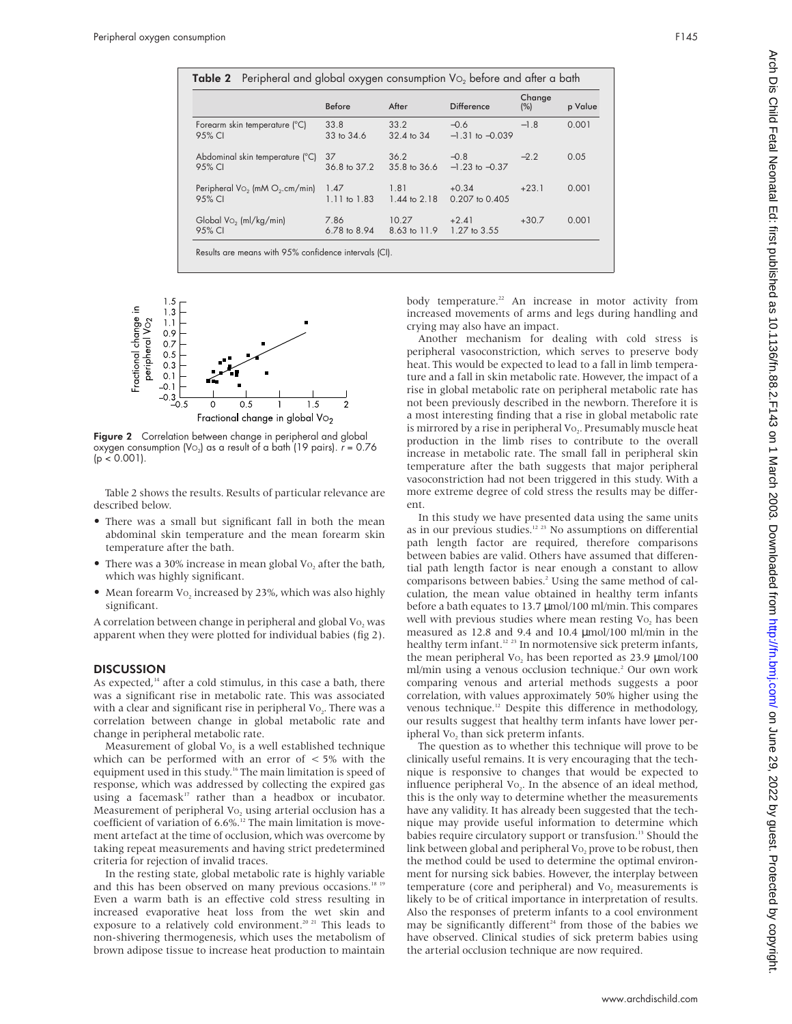|                                              | <b>Before</b>        | After                 | <b>Difference</b>             | Change<br>(%) | p Value |
|----------------------------------------------|----------------------|-----------------------|-------------------------------|---------------|---------|
| Forearm skin temperature (°C)<br>95% CI      | 33.8<br>33 to 34.6   | 33.2<br>32.4 to 34    | $-0.6$<br>$-1.31$ to $-0.039$ | $-1.8$        | 0.001   |
| Abdominal skin temperature (°C)<br>95% CI    | 37<br>36.8 to 37.2   | 36.2<br>35.8 to 36.6  | $-0.8$<br>$-1.23$ to $-0.37$  | $-2.2$        | 0.05    |
| Peripheral $Vo2$ (mM $O2$ .cm/min)<br>95% CI | 1.47<br>1.11 to 1.83 | 1.81<br>1.44 to 2.18  | $+0.34$<br>0.207 to 0.405     | $+23.1$       | 0.001   |
| Global Vo <sub>2</sub> (ml/kg/min)<br>95% CI | 7.86<br>6.78 to 8.94 | 10.27<br>8.63 to 11.9 | $+2.41$<br>1.27 to 3.55       | $+30.7$       | 0.001   |



Figure 2 Correlation between change in peripheral and global oxygen consumption (Vo<sub>2</sub>) as a result of a bath (19 pairs).  $r = 0.76$  $(p < 0.001)$ .

Table 2 shows the results. Results of particular relevance are described below.

- There was a small but significant fall in both the mean abdominal skin temperature and the mean forearm skin temperature after the bath.
- There was a 30% increase in mean global Vo, after the bath, which was highly significant.
- Mean forearm Vo<sub>2</sub> increased by 23%, which was also highly significant.

A correlation between change in peripheral and global Vo, was apparent when they were plotted for individual babies (fig 2).

#### **DISCUSSION**

As expected, $14$  after a cold stimulus, in this case a bath, there was a significant rise in metabolic rate. This was associated with a clear and significant rise in peripheral Vo<sub>2</sub>. There was a correlation between change in global metabolic rate and change in peripheral metabolic rate.

Measurement of global  $Vo_2$  is a well established technique which can be performed with an error of  $<$  5% with the equipment used in this study.<sup>16</sup> The main limitation is speed of response, which was addressed by collecting the expired gas using a facemask<sup>17</sup> rather than a headbox or incubator. Measurement of peripheral Vo<sub>2</sub> using arterial occlusion has a coefficient of variation of  $6.6\%$ .<sup>12</sup> The main limitation is movement artefact at the time of occlusion, which was overcome by taking repeat measurements and having strict predetermined criteria for rejection of invalid traces.

In the resting state, global metabolic rate is highly variable and this has been observed on many previous occasions.<sup>18 15</sup> Even a warm bath is an effective cold stress resulting in increased evaporative heat loss from the wet skin and exposure to a relatively cold environment.<sup>20 21</sup> This leads to non-shivering thermogenesis, which uses the metabolism of brown adipose tissue to increase heat production to maintain

body temperature.<sup>22</sup> An increase in motor activity from increased movements of arms and legs during handling and crying may also have an impact.

Another mechanism for dealing with cold stress is peripheral vasoconstriction, which serves to preserve body heat. This would be expected to lead to a fall in limb temperature and a fall in skin metabolic rate. However, the impact of a rise in global metabolic rate on peripheral metabolic rate has not been previously described in the newborn. Therefore it is a most interesting finding that a rise in global metabolic rate is mirrored by a rise in peripheral Vo<sub>2</sub>. Presumably muscle heat production in the limb rises to contribute to the overall increase in metabolic rate. The small fall in peripheral skin temperature after the bath suggests that major peripheral vasoconstriction had not been triggered in this study. With a more extreme degree of cold stress the results may be different.

In this study we have presented data using the same units as in our previous studies.12 23 No assumptions on differential path length factor are required, therefore comparisons between babies are valid. Others have assumed that differential path length factor is near enough a constant to allow comparisons between babies.<sup>2</sup> Using the same method of calculation, the mean value obtained in healthy term infants before a bath equates to 13.7 µmol/100 ml/min. This compares well with previous studies where mean resting Vo, has been measured as 12.8 and 9.4 and 10.4 µmol/100 ml/min in the healthy term infant.<sup>12</sup><sup>23</sup> In normotensive sick preterm infants, the mean peripheral Vo, has been reported as  $23.9 \mu$ mol/100 ml/min using a venous occlusion technique.<sup>2</sup> Our own work comparing venous and arterial methods suggests a poor correlation, with values approximately 50% higher using the venous technique.<sup>12</sup> Despite this difference in methodology, our results suggest that healthy term infants have lower peripheral Vo<sub>2</sub> than sick preterm infants.

The question as to whether this technique will prove to be clinically useful remains. It is very encouraging that the technique is responsive to changes that would be expected to influence peripheral Vo<sub>2</sub>. In the absence of an ideal method, this is the only way to determine whether the measurements have any validity. It has already been suggested that the technique may provide useful information to determine which babies require circulatory support or transfusion.<sup>13</sup> Should the link between global and peripheral Vo<sub>2</sub> prove to be robust, then the method could be used to determine the optimal environment for nursing sick babies. However, the interplay between temperature (core and peripheral) and Vo<sub>2</sub> measurements is likely to be of critical importance in interpretation of results. Also the responses of preterm infants to a cool environment may be significantly different<sup>24</sup> from those of the babies we have observed. Clinical studies of sick preterm babies using the arterial occlusion technique are now required.